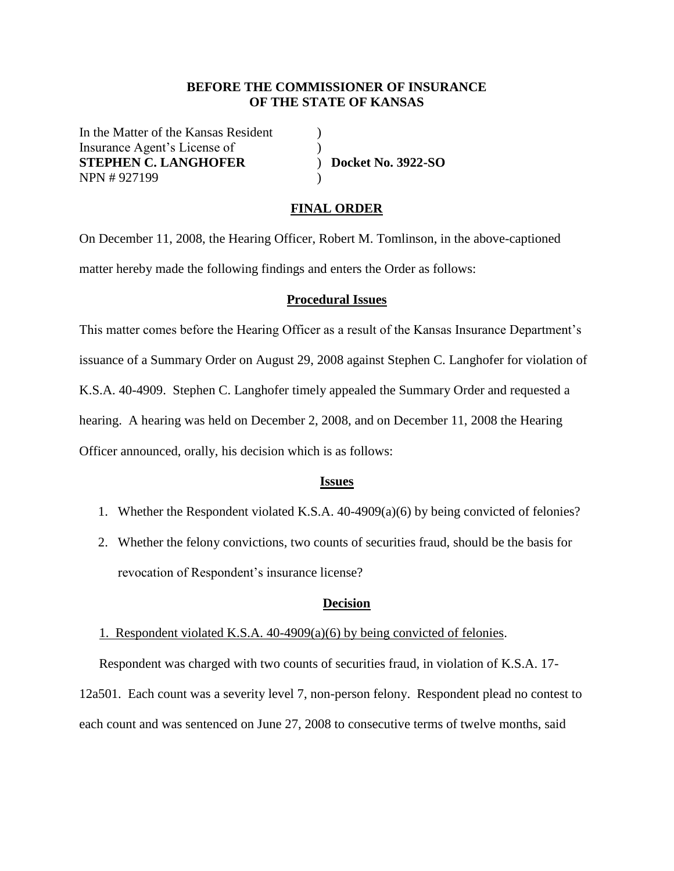## **BEFORE THE COMMISSIONER OF INSURANCE OF THE STATE OF KANSAS**

In the Matter of the Kansas Resident (1) Insurance Agent's License of (1) **STEPHEN C. LANGHOFER** ) **Docket No. 3922-SO** NPN # 927199 )

## **FINAL ORDER**

On December 11, 2008, the Hearing Officer, Robert M. Tomlinson, in the above-captioned matter hereby made the following findings and enters the Order as follows:

## **Procedural Issues**

This matter comes before the Hearing Officer as a result of the Kansas Insurance Department's issuance of a Summary Order on August 29, 2008 against Stephen C. Langhofer for violation of K.S.A. 40-4909. Stephen C. Langhofer timely appealed the Summary Order and requested a hearing. A hearing was held on December 2, 2008, and on December 11, 2008 the Hearing Officer announced, orally, his decision which is as follows:

#### **Issues**

- 1. Whether the Respondent violated K.S.A. 40-4909(a)(6) by being convicted of felonies?
- 2. Whether the felony convictions, two counts of securities fraud, should be the basis for revocation of Respondent's insurance license?

#### **Decision**

#### 1. Respondent violated K.S.A. 40-4909(a)(6) by being convicted of felonies.

Respondent was charged with two counts of securities fraud, in violation of K.S.A. 17- 12a501. Each count was a severity level 7, non-person felony. Respondent plead no contest to each count and was sentenced on June 27, 2008 to consecutive terms of twelve months, said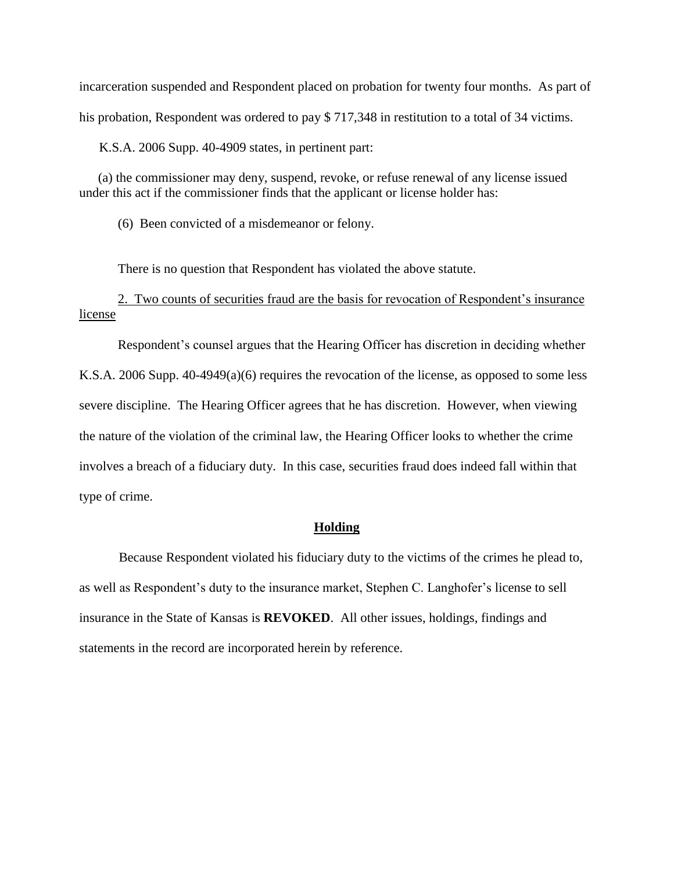incarceration suspended and Respondent placed on probation for twenty four months. As part of his probation, Respondent was ordered to pay \$717,348 in restitution to a total of 34 victims.

K.S.A. 2006 Supp. 40-4909 states, in pertinent part:

(a) the commissioner may deny, suspend, revoke, or refuse renewal of any license issued under this act if the commissioner finds that the applicant or license holder has:

(6) Been convicted of a misdemeanor or felony.

There is no question that Respondent has violated the above statute.

2. Two counts of securities fraud are the basis for revocation of Respondent's insurance license

Respondent's counsel argues that the Hearing Officer has discretion in deciding whether

K.S.A. 2006 Supp. 40-4949(a)(6) requires the revocation of the license, as opposed to some less severe discipline. The Hearing Officer agrees that he has discretion. However, when viewing the nature of the violation of the criminal law, the Hearing Officer looks to whether the crime involves a breach of a fiduciary duty. In this case, securities fraud does indeed fall within that type of crime.

## **Holding**

Because Respondent violated his fiduciary duty to the victims of the crimes he plead to, as well as Respondent's duty to the insurance market, Stephen C. Langhofer's license to sell insurance in the State of Kansas is **REVOKED**. All other issues, holdings, findings and statements in the record are incorporated herein by reference.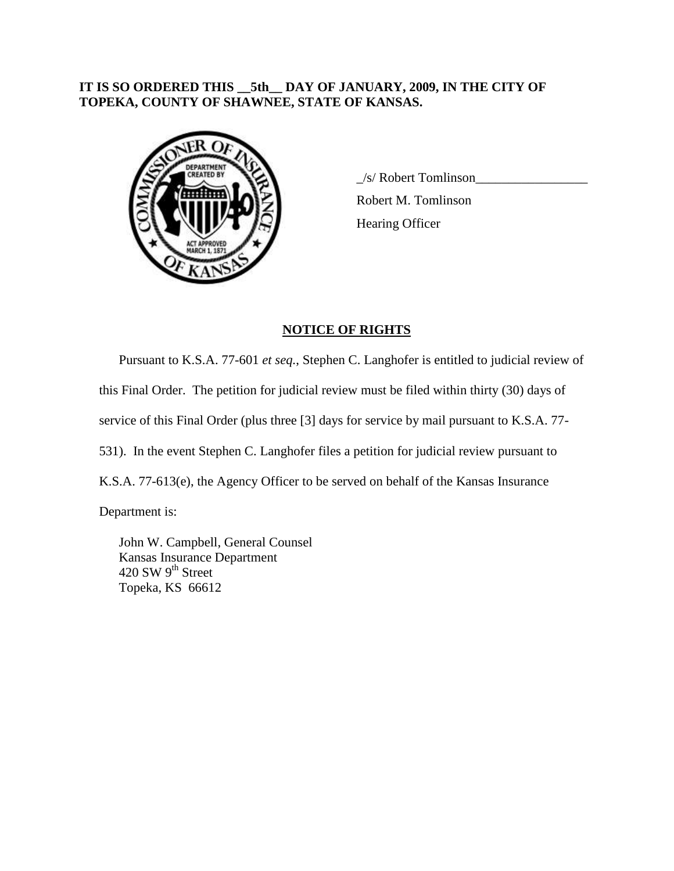## **IT IS SO ORDERED THIS \_\_5th\_\_ DAY OF JANUARY, 2009, IN THE CITY OF TOPEKA, COUNTY OF SHAWNEE, STATE OF KANSAS.**



 $\angle$ s/ Robert Tomlinson $\angle$ Robert M. Tomlinson Hearing Officer

# **NOTICE OF RIGHTS**

Pursuant to K.S.A. 77-601 *et seq.*, Stephen C. Langhofer is entitled to judicial review of this Final Order. The petition for judicial review must be filed within thirty (30) days of service of this Final Order (plus three [3] days for service by mail pursuant to K.S.A. 77- 531). In the event Stephen C. Langhofer files a petition for judicial review pursuant to K.S.A. 77-613(e), the Agency Officer to be served on behalf of the Kansas Insurance Department is:

John W. Campbell, General Counsel Kansas Insurance Department 420 SW 9<sup>th</sup> Street Topeka, KS 66612